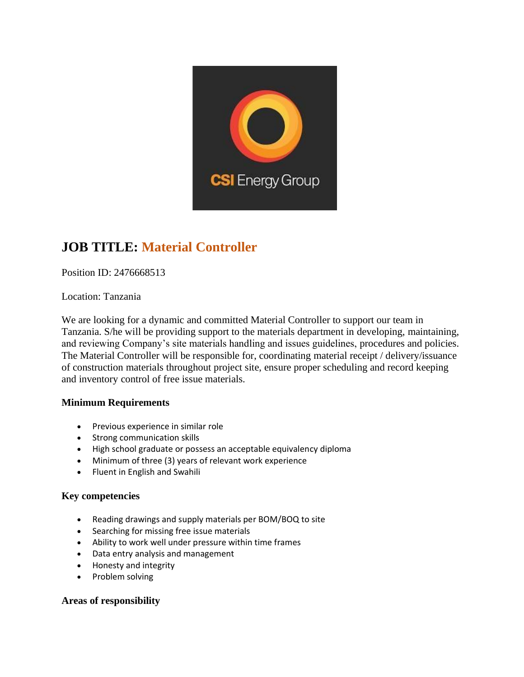

## **JOB TITLE: Material Controller**

Position ID: 2476668513

Location: Tanzania

We are looking for a dynamic and committed Material Controller to support our team in Tanzania. S/he will be providing support to the materials department in developing, maintaining, and reviewing Company's site materials handling and issues guidelines, procedures and policies. The Material Controller will be responsible for, coordinating material receipt / delivery/issuance of construction materials throughout project site, ensure proper scheduling and record keeping and inventory control of free issue materials.

### **Minimum Requirements**

- Previous experience in similar role
- Strong communication skills
- High school graduate or possess an acceptable equivalency diploma
- Minimum of three (3) years of relevant work experience
- Fluent in English and Swahili

### **Key competencies**

- Reading drawings and supply materials per BOM/BOQ to site
- Searching for missing free issue materials
- Ability to work well under pressure within time frames
- Data entry analysis and management
- Honesty and integrity
- Problem solving

### **Areas of responsibility**